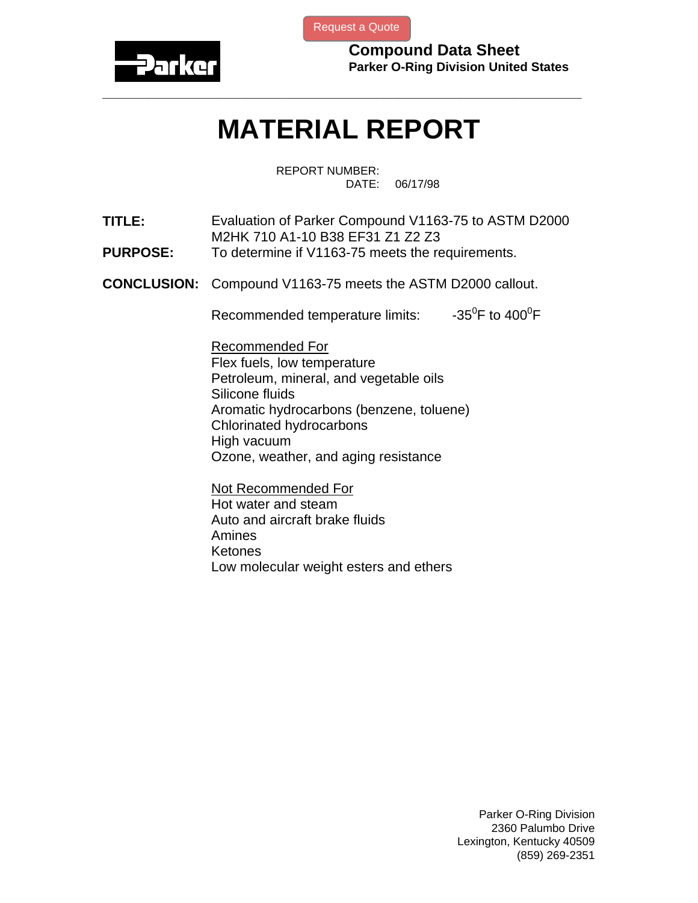

[Request a Quote](http://www.marcorubber.com/contact_quote.htm?material=Parker+V1163-75)

**Compound Data Sheet Parker O-Ring Division United States** 

## **MATERIAL REPORT**

**\_\_\_\_\_\_\_\_\_\_\_\_\_\_\_\_\_\_\_\_\_\_\_\_\_\_\_\_\_\_\_\_\_\_\_\_\_\_\_\_\_\_\_\_\_\_\_\_\_\_\_\_\_\_\_\_\_\_\_\_\_\_\_** 

REPORT NUMBER: DATE: 06/17/98

**TITLE:** Evaluation of Parker Compound V1163-75 to ASTM D2000 M2HK 710 A1-10 B38 EF31 Z1 Z2 Z3

- **PURPOSE:** To determine if V1163-75 meets the requirements.
- **CONCLUSION:** Compound V1163-75 meets the ASTM D2000 callout.

Recommended temperature limits: F to  $400^0$ F

Recommended For Flex fuels, low temperature Petroleum, mineral, and vegetable oils Silicone fluids Aromatic hydrocarbons (benzene, toluene) Chlorinated hydrocarbons High vacuum Ozone, weather, and aging resistance

Not Recommended For Hot water and steam Auto and aircraft brake fluids Amines Ketones Low molecular weight esters and ethers

> Parker O-Ring Division 2360 Palumbo Drive Lexington, Kentucky 40509 (859) 269-2351